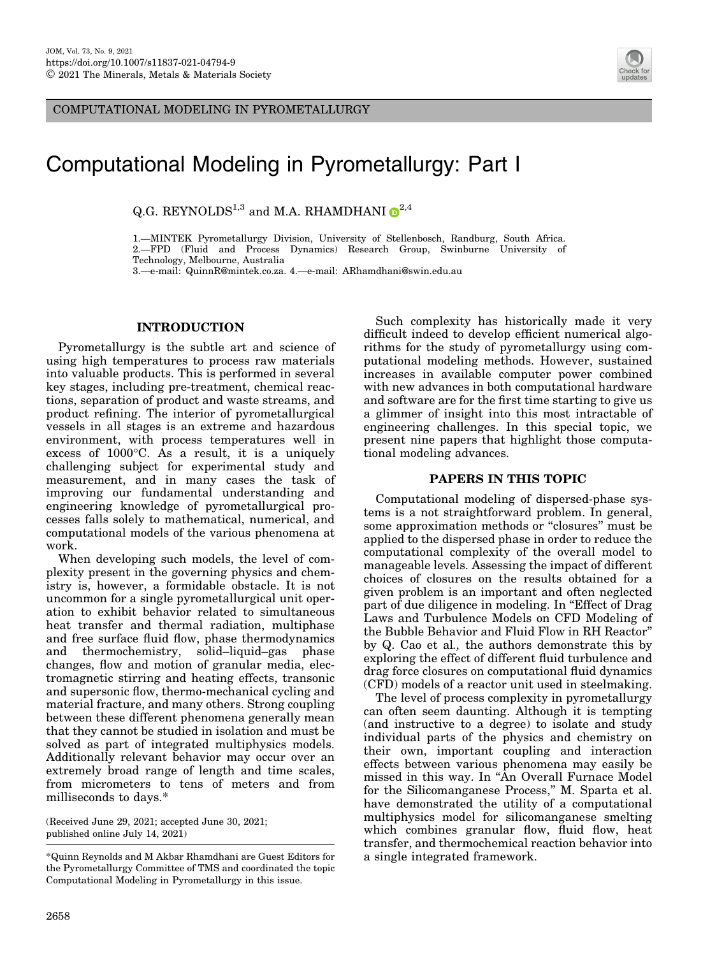COMPUTATIONAL MODELING IN PYROMETALLURGY



## Computational Modeling in Pyrometallurgy: Part I

Q.G. REYNOLDS<sup>1,3</sup> and M.A. RHAMDHAN[I](http://orcid.org/0000-0002-9457-3808)  $\mathbb{D}^{2,4}$ 

1.—MINTEK Pyrometallurgy Division, University of Stellenbosch, Randburg, South Africa. 2.—FPD (Fluid and Process Dynamics) Research Group, Swinburne University of

Technology, Melbourne, Australia

3.—e-mail: QuinnR@mintek.co.za. 4.—e-mail: ARhamdhani@swin.edu.au

## INTRODUCTION

Pyrometallurgy is the subtle art and science of using high temperatures to process raw materials into valuable products. This is performed in several key stages, including pre-treatment, chemical reactions, separation of product and waste streams, and product refining. The interior of pyrometallurgical vessels in all stages is an extreme and hazardous environment, with process temperatures well in  $excess of 1000°C$ . As a result, it is a uniquely challenging subject for experimental study and measurement, and in many cases the task of improving our fundamental understanding and engineering knowledge of pyrometallurgical processes falls solely to mathematical, numerical, and computational models of the various phenomena at work.

When developing such models, the level of complexity present in the governing physics and chemistry is, however, a formidable obstacle. It is not uncommon for a single pyrometallurgical unit operation to exhibit behavior related to simultaneous heat transfer and thermal radiation, multiphase and free surface fluid flow, phase thermodynamics and thermochemistry, solid–liquid–gas phase changes, flow and motion of granular media, electromagnetic stirring and heating effects, transonic and supersonic flow, thermo-mechanical cycling and material fracture, and many others. Strong coupling between these different phenomena generally mean that they cannot be studied in isolation and must be solved as part of integrated multiphysics models. Additionally relevant behavior may occur over an extremely broad range of length and time scales, from micrometers to tens of meters and from milliseconds to days.\*

(Received June 29, 2021; accepted June 30, 2021; published online July 14, 2021)

\*Quinn Reynolds and M Akbar Rhamdhani are Guest Editors for the Pyrometallurgy Committee of TMS and coordinated the topic Computational Modeling in Pyrometallurgy in this issue.

Such complexity has historically made it very difficult indeed to develop efficient numerical algorithms for the study of pyrometallurgy using computational modeling methods. However, sustained increases in available computer power combined with new advances in both computational hardware and software are for the first time starting to give us a glimmer of insight into this most intractable of engineering challenges. In this special topic, we present nine papers that highlight those computational modeling advances.

## PAPERS IN THIS TOPIC

Computational modeling of dispersed-phase systems is a not straightforward problem. In general, some approximation methods or ''closures'' must be applied to the dispersed phase in order to reduce the computational complexity of the overall model to manageable levels. Assessing the impact of different choices of closures on the results obtained for a given problem is an important and often neglected part of due diligence in modeling. In ''Effect of Drag Laws and Turbulence Models on CFD Modeling of the Bubble Behavior and Fluid Flow in RH Reactor'' by Q. Cao et al., the authors demonstrate this by exploring the effect of different fluid turbulence and drag force closures on computational fluid dynamics (CFD) models of a reactor unit used in steelmaking.

The level of process complexity in pyrometallurgy can often seem daunting. Although it is tempting (and instructive to a degree) to isolate and study individual parts of the physics and chemistry on their own, important coupling and interaction effects between various phenomena may easily be missed in this way. In ''An Overall Furnace Model for the Silicomanganese Process,'' M. Sparta et al. have demonstrated the utility of a computational multiphysics model for silicomanganese smelting which combines granular flow, fluid flow, heat transfer, and thermochemical reaction behavior into a single integrated framework.